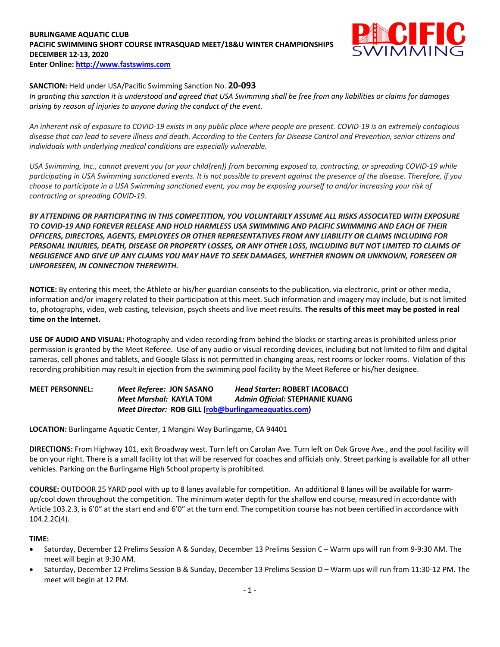## **BURLINGAME AQUATIC CLUB PACIFIC SWIMMING SHORT COURSE INTRASQUAD MEET/18&U WINTER CHAMPIONSHIPS DECEMBER 12-13, 2020 Enter Online: http://www.fastswims.com**



## **SANCTION:** Held under USA/Pacific Swimming Sanction No. **20-093**

*In granting this sanction it is understood and agreed that USA Swimming shall be free from any liabilities or claims for damages arising by reason of injuries to anyone during the conduct of the event.* 

*An inherent risk of exposure to COVID-19 exists in any public place where people are present. COVID-19 is an extremely contagious disease that can lead to severe illness and death. According to the Centers for Disease Control and Prevention, senior citizens and individuals with underlying medical conditions are especially vulnerable.*

*USA Swimming, Inc., cannot prevent you (or your child(ren)) from becoming exposed to, contracting, or spreading COVID-19 while participating in USA Swimming sanctioned events. It is not possible to prevent against the presence of the disease. Therefore, if you choose to participate in a USA Swimming sanctioned event, you may be exposing yourself to and/or increasing your risk of contracting or spreading COVID-19.*

*BY ATTENDING OR PARTICIPATING IN THIS COMPETITION, YOU VOLUNTARILY ASSUME ALL RISKS ASSOCIATED WITH EXPOSURE TO COVID-19 AND FOREVER RELEASE AND HOLD HARMLESS USA SWIMMING AND PACIFIC SWIMMING AND EACH OF THEIR OFFICERS, DIRECTORS, AGENTS, EMPLOYEES OR OTHER REPRESENTATIVES FROM ANY LIABILITY OR CLAIMS INCLUDING FOR PERSONAL INJURIES, DEATH, DISEASE OR PROPERTY LOSSES, OR ANY OTHER LOSS, INCLUDING BUT NOT LIMITED TO CLAIMS OF NEGLIGENCE AND GIVE UP ANY CLAIMS YOU MAY HAVE TO SEEK DAMAGES, WHETHER KNOWN OR UNKNOWN, FORESEEN OR UNFORESEEN, IN CONNECTION THEREWITH.*

**NOTICE:** By entering this meet, the Athlete or his/her guardian consents to the publication, via electronic, print or other media, information and/or imagery related to their participation at this meet. Such information and imagery may include, but is not limited to, photographs, video, web casting, television, psych sheets and live meet results. **The results of this meet may be posted in real time on the Internet.**

**USE OF AUDIO AND VISUAL:** Photography and video recording from behind the blocks or starting areas is prohibited unless prior permission is granted by the Meet Referee. Use of any audio or visual recording devices, including but not limited to film and digital cameras, cell phones and tablets, and Google Glass is not permitted in changing areas, rest rooms or locker rooms. Violation of this recording prohibition may result in ejection from the swimming pool facility by the Meet Referee or his/her designee.

**MEET PERSONNEL:** *Meet Referee:* **JON SASANO** *Head Starter:* **ROBERT IACOBACCI** *Meet Marshal:* **KAYLA TOM** *Admin Official:* **STEPHANIE KUANG** *Meet Director:* **ROB GILL (rob@burlingameaquatics.com)**

**LOCATION:** Burlingame Aquatic Center, 1 Mangini Way Burlingame, CA 94401

**DIRECTIONS:** From Highway 101, exit Broadway west. Turn left on Carolan Ave. Turn left on Oak Grove Ave., and the pool facility will be on your right. There is a small facility lot that will be reserved for coaches and officials only. Street parking is available for all other vehicles. Parking on the Burlingame High School property is prohibited.

**COURSE:** OUTDOOR 25 YARD pool with up to 8 lanes available for competition. An additional 8 lanes will be available for warmup/cool down throughout the competition. The minimum water depth for the shallow end course, measured in accordance with Article 103.2.3, is 6'0" at the start end and 6'0" at the turn end. The competition course has not been certified in accordance with 104.2.2C(4).

## **TIME:**

- Saturday, December 12 Prelims Session A & Sunday, December 13 Prelims Session C Warm ups will run from 9-9:30 AM. The meet will begin at 9:30 AM.
- Saturday, December 12 Prelims Session B & Sunday, December 13 Prelims Session D Warm ups will run from 11:30-12 PM. The meet will begin at 12 PM.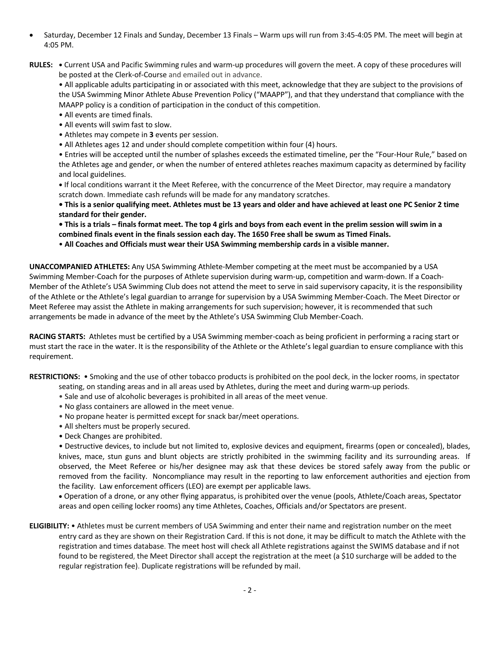- Saturday, December 12 Finals and Sunday, December 13 Finals Warm ups will run from 3:45-4:05 PM. The meet will begin at 4:05 PM.
- **RULES: •** Current USA and Pacific Swimming rules and warm-up procedures will govern the meet. A copy of these procedures will be posted at the Clerk-of-Course and emailed out in advance.

• All applicable adults participating in or associated with this meet, acknowledge that they are subject to the provisions of the USA Swimming Minor Athlete Abuse Prevention Policy ("MAAPP"), and that they understand that compliance with the MAAPP policy is a condition of participation in the conduct of this competition.

- All events are timed finals.
- All events will swim fast to slow.
- Athletes may compete in **3** events per session.
- All Athletes ages 12 and under should complete competition within four (4) hours.

• Entries will be accepted until the number of splashes exceeds the estimated timeline, per the "Four-Hour Rule," based on the Athletes age and gender, or when the number of entered athletes reaches maximum capacity as determined by facility and local guidelines.

**•** If local conditions warrant it the Meet Referee, with the concurrence of the Meet Director, may require a mandatory scratch down. Immediate cash refunds will be made for any mandatory scratches.

**• This is a senior qualifying meet. Athletes must be 13 years and older and have achieved at least one PC Senior 2 time standard for their gender.** 

**• This is a trials – finals format meet. The top 4 girls and boys from each event in the prelim session will swim in a combined finals event in the finals session each day. The 1650 Free shall be swum as Timed Finals.**

• **All Coaches and Officials must wear their USA Swimming membership cards in a visible manner.** 

**UNACCOMPANIED ATHLETES:** Any USA Swimming Athlete-Member competing at the meet must be accompanied by a USA Swimming Member-Coach for the purposes of Athlete supervision during warm-up, competition and warm-down. If a Coach-Member of the Athlete's USA Swimming Club does not attend the meet to serve in said supervisory capacity, it is the responsibility of the Athlete or the Athlete's legal guardian to arrange for supervision by a USA Swimming Member-Coach. The Meet Director or Meet Referee may assist the Athlete in making arrangements for such supervision; however, it is recommended that such arrangements be made in advance of the meet by the Athlete's USA Swimming Club Member-Coach.

**RACING STARTS:** Athletes must be certified by a USA Swimming member-coach as being proficient in performing a racing start or must start the race in the water. It is the responsibility of the Athlete or the Athlete's legal guardian to ensure compliance with this requirement.

**RESTRICTIONS:** • Smoking and the use of other tobacco products is prohibited on the pool deck, in the locker rooms, in spectator

- seating, on standing areas and in all areas used by Athletes, during the meet and during warm-up periods.
- Sale and use of alcoholic beverages is prohibited in all areas of the meet venue.
- No glass containers are allowed in the meet venue.
- No propane heater is permitted except for snack bar/meet operations.
- All shelters must be properly secured.
- Deck Changes are prohibited.

• Destructive devices, to include but not limited to, explosive devices and equipment, firearms (open or concealed), blades, knives, mace, stun guns and blunt objects are strictly prohibited in the swimming facility and its surrounding areas. If observed, the Meet Referee or his/her designee may ask that these devices be stored safely away from the public or removed from the facility. Noncompliance may result in the reporting to law enforcement authorities and ejection from the facility. Law enforcement officers (LEO) are exempt per applicable laws.

• Operation of a drone, or any other flying apparatus, is prohibited over the venue (pools, Athlete/Coach areas, Spectator areas and open ceiling locker rooms) any time Athletes, Coaches, Officials and/or Spectators are present.

**ELIGIBILITY:** • Athletes must be current members of USA Swimming and enter their name and registration number on the meet entry card as they are shown on their Registration Card. If this is not done, it may be difficult to match the Athlete with the registration and times database. The meet host will check all Athlete registrations against the SWIMS database and if not found to be registered, the Meet Director shall accept the registration at the meet (a \$10 surcharge will be added to the regular registration fee). Duplicate registrations will be refunded by mail.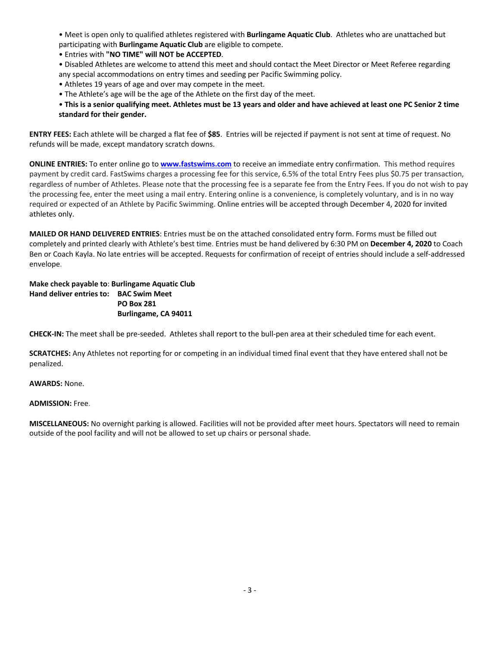• Meet is open only to qualified athletes registered with **Burlingame Aquatic Club**. Athletes who are unattached but participating with **Burlingame Aquatic Club** are eligible to compete.

• Entries with **"NO TIME" will NOT be ACCEPTED**.

• Disabled Athletes are welcome to attend this meet and should contact the Meet Director or Meet Referee regarding any special accommodations on entry times and seeding per Pacific Swimming policy.

- Athletes 19 years of age and over may compete in the meet.
- The Athlete's age will be the age of the Athlete on the first day of the meet.
- **This is a senior qualifying meet. Athletes must be 13 years and older and have achieved at least one PC Senior 2 time standard for their gender.**

**ENTRY FEES:** Each athlete will be charged a flat fee of **\$85**. Entries will be rejected if payment is not sent at time of request. No refunds will be made, except mandatory scratch downs.

**ONLINE ENTRIES:** To enter online go to **www.fastswims.com** to receive an immediate entry confirmation. This method requires payment by credit card. FastSwims charges a processing fee for this service, 6.5% of the total Entry Fees plus \$0.75 per transaction, regardless of number of Athletes. Please note that the processing fee is a separate fee from the Entry Fees. If you do not wish to pay the processing fee, enter the meet using a mail entry. Entering online is a convenience, is completely voluntary, and is in no way required or expected of an Athlete by Pacific Swimming. Online entries will be accepted through December 4, 2020 for invited athletes only.

**MAILED OR HAND DELIVERED ENTRIES**: Entries must be on the attached consolidated entry form. Forms must be filled out completely and printed clearly with Athlete's best time. Entries must be hand delivered by 6:30 PM on **December 4, 2020** to Coach Ben or Coach Kayla. No late entries will be accepted. Requests for confirmation of receipt of entries should include a self-addressed envelope.

**Make check payable to**: **Burlingame Aquatic Club Hand deliver entries to: BAC Swim Meet PO Box 281 Burlingame, CA 94011**

**CHECK-IN:** The meet shall be pre-seeded. Athletes shall report to the bull-pen area at their scheduled time for each event.

**SCRATCHES:** Any Athletes not reporting for or competing in an individual timed final event that they have entered shall not be penalized.

**AWARDS:** None.

#### **ADMISSION:** Free.

**MISCELLANEOUS:** No overnight parking is allowed. Facilities will not be provided after meet hours. Spectators will need to remain outside of the pool facility and will not be allowed to set up chairs or personal shade.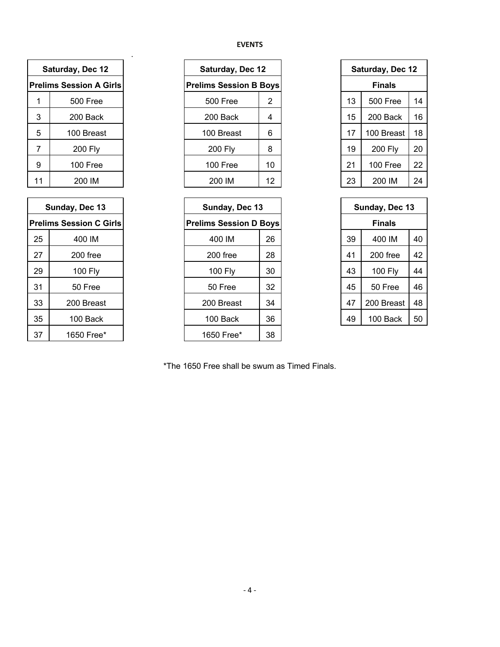# **EVENTS**

| Saturday, Dec 12               |  |  |  |  |  |  |
|--------------------------------|--|--|--|--|--|--|
| <b>Prelims Session A Girls</b> |  |  |  |  |  |  |
| <b>500 Free</b>                |  |  |  |  |  |  |
| 200 Back                       |  |  |  |  |  |  |
| 100 Breast                     |  |  |  |  |  |  |
| <b>200 Fly</b>                 |  |  |  |  |  |  |
| 100 Free                       |  |  |  |  |  |  |
| 200 IM                         |  |  |  |  |  |  |
|                                |  |  |  |  |  |  |

.

| Sunday, Dec 13                 |            |  |  |  |  |  |  |
|--------------------------------|------------|--|--|--|--|--|--|
| <b>Prelims Session C Girls</b> |            |  |  |  |  |  |  |
| 25                             | 400 IM     |  |  |  |  |  |  |
| 27<br>$200$ free               |            |  |  |  |  |  |  |
| 29                             | 100 Fly    |  |  |  |  |  |  |
| 31                             | 50 Free    |  |  |  |  |  |  |
| 33                             | 200 Breast |  |  |  |  |  |  |
| 35                             | 100 Back   |  |  |  |  |  |  |
| 37                             | 1650 Free* |  |  |  |  |  |  |

| Saturday, Dec 12              |    |  |  |  |  |
|-------------------------------|----|--|--|--|--|
| <b>Prelims Session B Boys</b> |    |  |  |  |  |
| 500 Free                      | 2  |  |  |  |  |
| 200 Back                      | 4  |  |  |  |  |
| 100 Breast                    | 6  |  |  |  |  |
| 200 Fly                       | 8  |  |  |  |  |
| $100$ Free                    | 10 |  |  |  |  |
| 200 IM                        | 12 |  |  |  |  |

| Sunday, Dec 13                |    |  |  |  |  |  |
|-------------------------------|----|--|--|--|--|--|
| <b>Prelims Session D Boys</b> |    |  |  |  |  |  |
| 400 IM                        | 26 |  |  |  |  |  |
| $200$ free                    | 28 |  |  |  |  |  |
| 100 Fly                       | 30 |  |  |  |  |  |
| 50 Free                       | 32 |  |  |  |  |  |
| 200 Breast                    | 34 |  |  |  |  |  |
| 100 Back                      | 36 |  |  |  |  |  |
| 1650 Free*                    | 38 |  |  |  |  |  |

| Saturday, Dec 12 |                |    |  |  |  |
|------------------|----------------|----|--|--|--|
| Finals           |                |    |  |  |  |
| 13               | 500 Free       | 14 |  |  |  |
| 15               | 200 Back       | 16 |  |  |  |
| 17               | 100 Breast     | 18 |  |  |  |
| 19               | <b>200 Fly</b> | 20 |  |  |  |
| 21               | 100 Free       | 22 |  |  |  |
| 23               | 200 IM         | 24 |  |  |  |

| Sunday, Dec 13 |                |    |  |  |  |
|----------------|----------------|----|--|--|--|
| Finals         |                |    |  |  |  |
| 39             | 400 IM         | 40 |  |  |  |
| 41             | $200$ free     | 42 |  |  |  |
| 43             | <b>100 Fly</b> | 44 |  |  |  |
| 45             | 50 Free        | 46 |  |  |  |
| 47             | 200 Breast     | 48 |  |  |  |
| 49             | 100 Back       | 50 |  |  |  |

\*The 1650 Free shall be swum as Timed Finals.